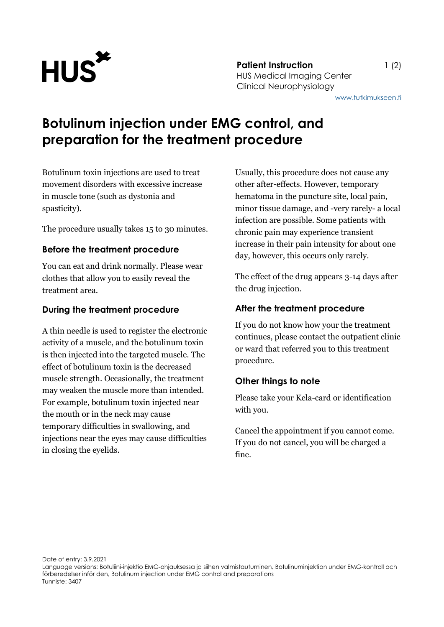

**Patient Instruction** 1 (2) HUS Medical Imaging Center Clinical Neurophysiology

[www.tutkimukseen.fi](http://www.tutkimukseen.fi/)

# **Botulinum injection under EMG control, and preparation for the treatment procedure**

Botulinum toxin injections are used to treat movement disorders with excessive increase in muscle tone (such as dystonia and spasticity).

The procedure usually takes 15 to 30 minutes.

#### **Before the treatment procedure**

You can eat and drink normally. Please wear clothes that allow you to easily reveal the treatment area.

#### **During the treatment procedure**

A thin needle is used to register the electronic activity of a muscle, and the botulinum toxin is then injected into the targeted muscle. The effect of botulinum toxin is the decreased muscle strength. Occasionally, the treatment may weaken the muscle more than intended. For example, botulinum toxin injected near the mouth or in the neck may cause temporary difficulties in swallowing, and injections near the eyes may cause difficulties in closing the eyelids.

Usually, this procedure does not cause any other after-effects. However, temporary hematoma in the puncture site, local pain, minor tissue damage, and -very rarely- a local infection are possible. Some patients with chronic pain may experience transient increase in their pain intensity for about one day, however, this occurs only rarely.

The effect of the drug appears 3-14 days after the drug injection.

### **After the treatment procedure**

If you do not know how your the treatment continues, please contact the outpatient clinic or ward that referred you to this treatment procedure.

## **Other things to note**

Please take your Kela-card or identification with you.

Cancel the appointment if you cannot come. If you do not cancel, you will be charged a fine.